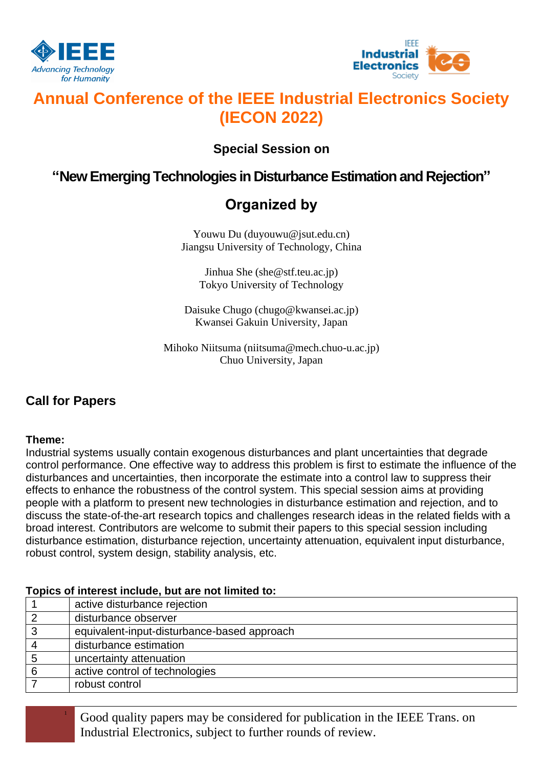



# **Annual Conference of the IEEE Industrial Electronics Society (IECON 2022)**

### **Special Session on**

## **"New Emerging Technologies in Disturbance Estimation and Rejection"**

# **Organized by**

Youwu Du (duyouwu@jsut.edu.cn) Jiangsu University of Technology, China

Jinhua She (she@stf.teu.ac.jp) Tokyo University of Technology

Daisuke Chugo (chugo@kwansei.ac.jp) Kwansei Gakuin University, Japan

Mihoko Niitsuma (niitsuma@mech.chuo-u.ac.jp) Chuo University, Japan

### **Call for Papers**

### **Theme:**

Industrial systems usually contain exogenous disturbances and plant uncertainties that degrade control performance. One effective way to address this problem is first to estimate the influence of the disturbances and uncertainties, then incorporate the estimate into a control law to suppress their effects to enhance the robustness of the control system. This special session aims at providing people with a platform to present new technologies in disturbance estimation and rejection, and to discuss the state-of-the-art research topics and challenges research ideas in the related fields with a broad interest. Contributors are welcome to submit their papers to this special session including disturbance estimation, disturbance rejection, uncertainty attenuation, equivalent input disturbance, robust control, system design, stability analysis, etc.

### **Topics of interest include, but are not limited to:**

|   | active disturbance rejection                |
|---|---------------------------------------------|
| ⌒ | disturbance observer                        |
| 3 | equivalent-input-disturbance-based approach |
| 4 | disturbance estimation                      |
| 5 | uncertainty attenuation                     |
| 6 | active control of technologies              |
|   | robust control                              |

<sup>1</sup> Good quality papers may be considered for publication in the IEEE Trans. on Industrial Electronics, subject to further rounds of review.